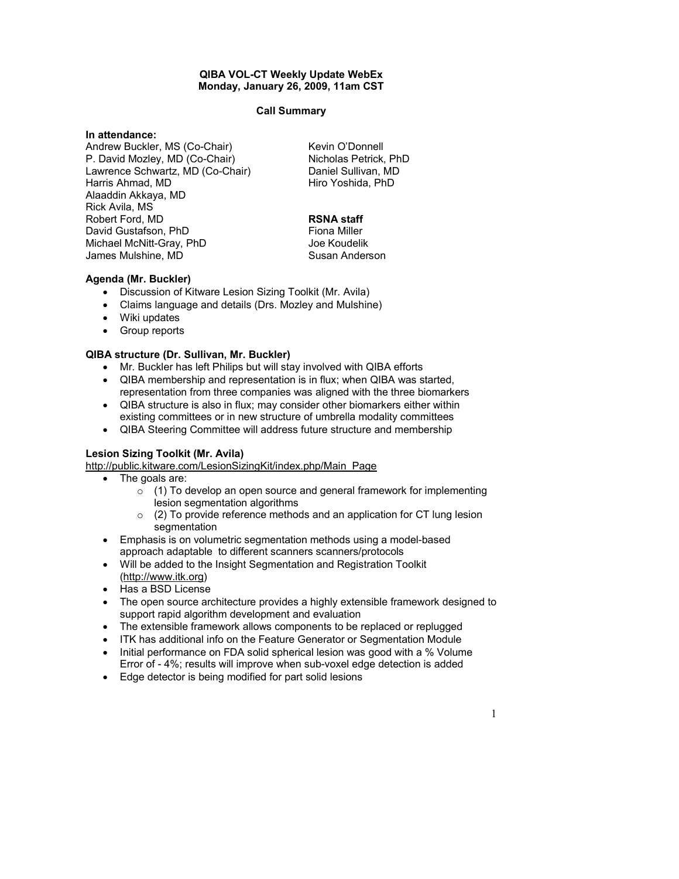#### QIBA VOL-CT Weekly Update WebEx Monday, January 26, 2009, 11am CST

#### Call Summary

## In attendance:

Andrew Buckler, MS (Co-Chair) P. David Mozley, MD (Co-Chair) Lawrence Schwartz, MD (Co-Chair) Harris Ahmad, MD Alaaddin Akkaya, MD Rick Avila, MS Robert Ford, MD David Gustafson, PhD Michael McNitt-Gray, PhD James Mulshine, MD

Kevin O'Donnell Nicholas Petrick, PhD Daniel Sullivan, MD Hiro Yoshida, PhD

# RSNA staff

Fiona Miller Joe Koudelik Susan Anderson

## Agenda (Mr. Buckler)

- Discussion of Kitware Lesion Sizing Toolkit (Mr. Avila)
- Claims language and details (Drs. Mozley and Mulshine)
- Wiki updates
- Group reports

## QIBA structure (Dr. Sullivan, Mr. Buckler)

- Mr. Buckler has left Philips but will stay involved with QIBA efforts
- QIBA membership and representation is in flux; when QIBA was started, representation from three companies was aligned with the three biomarkers
- QIBA structure is also in flux; may consider other biomarkers either within existing committees or in new structure of umbrella modality committees
- QIBA Steering Committee will address future structure and membership

## Lesion Sizing Toolkit (Mr. Avila)

http://public.kitware.com/LesionSizingKit/index.php/Main\_Page

- The goals are:
	- $\circ$  (1) To develop an open source and general framework for implementing lesion segmentation algorithms
	- o (2) To provide reference methods and an application for CT lung lesion segmentation
- Emphasis is on volumetric segmentation methods using a model-based approach adaptable to different scanners scanners/protocols
- Will be added to the Insight Segmentation and Registration Toolkit (http://www.itk.org)
- Has a BSD License
- The open source architecture provides a highly extensible framework designed to support rapid algorithm development and evaluation
- The extensible framework allows components to be replaced or replugged
- ITK has additional info on the Feature Generator or Segmentation Module
- Initial performance on FDA solid spherical lesion was good with a % Volume Error of - 4%; results will improve when sub-voxel edge detection is added
- Edge detector is being modified for part solid lesions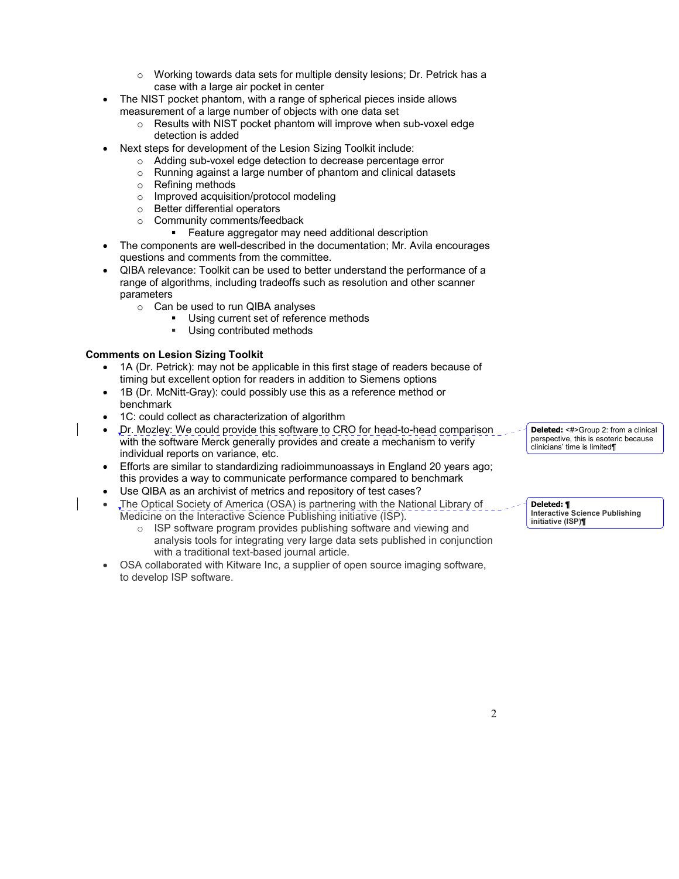- o Working towards data sets for multiple density lesions; Dr. Petrick has a case with a large air pocket in center
- The NIST pocket phantom, with a range of spherical pieces inside allows measurement of a large number of objects with one data set
	- o Results with NIST pocket phantom will improve when sub-voxel edge detection is added
- Next steps for development of the Lesion Sizing Toolkit include:
	- o Adding sub-voxel edge detection to decrease percentage error
	- o Running against a large number of phantom and clinical datasets
	- o Refining methods
	- o Improved acquisition/protocol modeling
	- o Better differential operators
	- o Community comments/feedback
		- **Feature aggregator may need additional description**
- The components are well-described in the documentation; Mr. Avila encourages questions and comments from the committee.
- QIBA relevance: Toolkit can be used to better understand the performance of a range of algorithms, including tradeoffs such as resolution and other scanner parameters
	- o Can be used to run QIBA analyses
		- Using current set of reference methods<br>
		Using contributed methods
		- Using contributed methods

## Comments on Lesion Sizing Toolkit

- 1A (Dr. Petrick): may not be applicable in this first stage of readers because of timing but excellent option for readers in addition to Siemens options
- 1B (Dr. McNitt-Gray): could possibly use this as a reference method or benchmark
- 1C: could collect as characterization of algorithm
- Dr. Mozley: We could provide this software to CRO for head-to-head comparison with the software Merck generally provides and create a mechanism to verify individual reports on variance, etc.
- Efforts are similar to standardizing radioimmunoassays in England 20 years ago; this provides a way to communicate performance compared to benchmark
- Use QIBA as an archivist of metrics and repository of test cases?
- The Optical Society of America (OSA) is partnering with the National Library of Medicine on the Interactive Science Publishing initiative (ISP).
	- o ISP software program provides publishing software and viewing and analysis tools for integrating very large data sets published in conjunction with a traditional text-based journal article.
- OSA collaborated with Kitware Inc, a supplier of open source imaging software, to develop ISP software.

Deleted: <#>Group 2: from a clinical perspective, this is esoteric because clinicians' time is limited¶

Deleted: ¶ Interactive Science Publishing initiative (ISP)¶